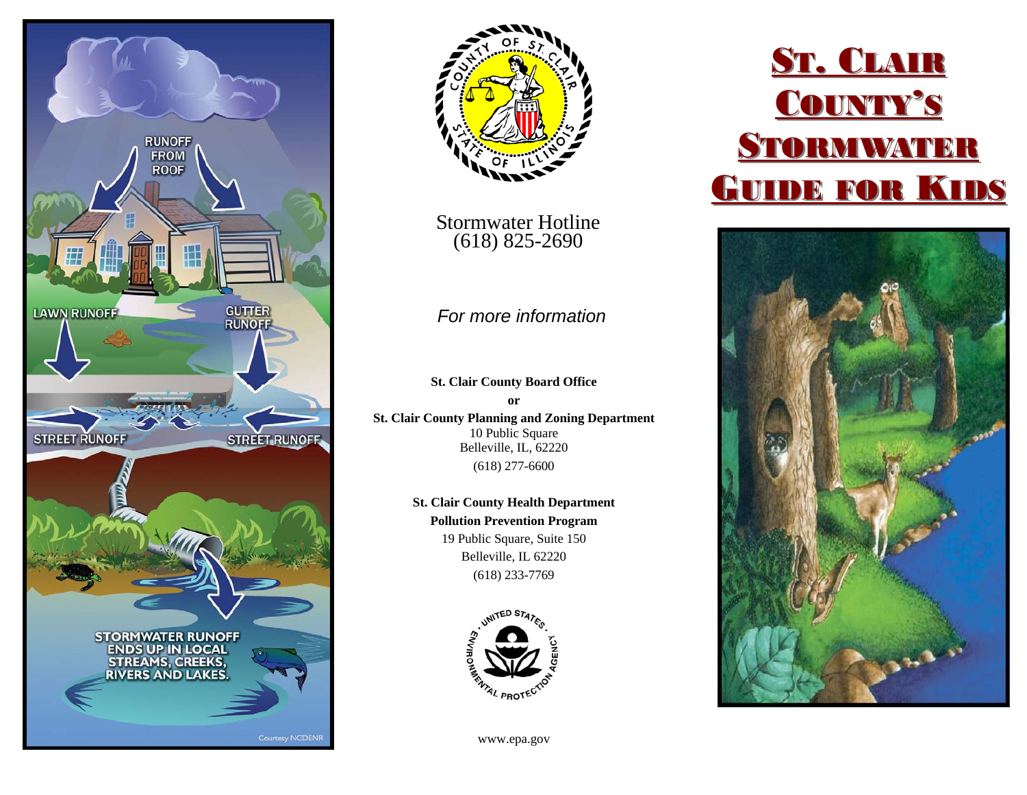



Stormwater Hotline (618) 825-2690

### *For more information*

**St. Clair County Board Office or St. Clair County Planning and Zoning Department**  10 Public Square Belleville, IL, 62220 (618) 277-6600

> **St. Clair County Health Department Pollution Prevention Program**  19 Public Square, Suite 150 Belleville, IL 62220 (618) 233-7769



www.epa.gov

# ST. CLAIR COUNTY'S **STORMWATER GUIDE FOR KIDS**